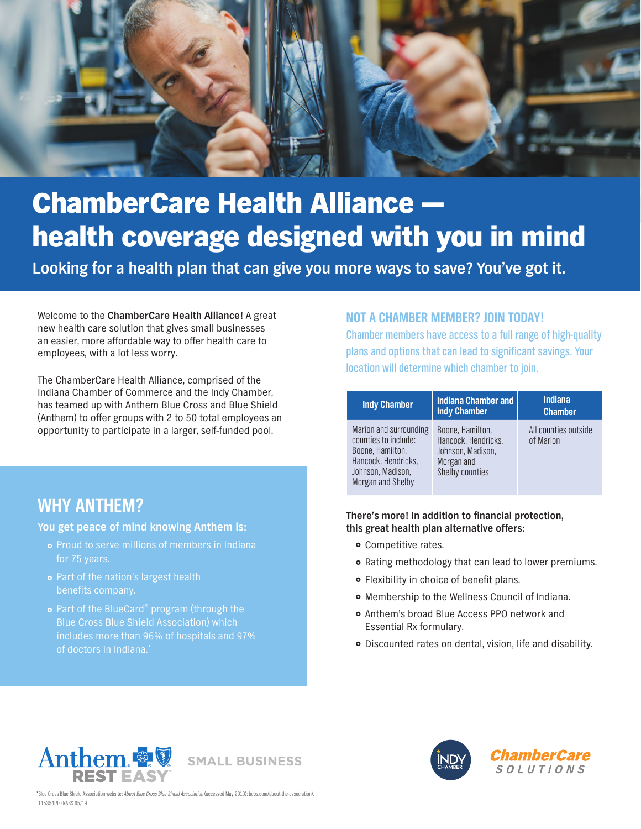

# **ChamberCare Health Alliance** health coverage designed with you in mind

**Looking for a health plan that can give you more ways to save? You've got it.**

Welcome to the **ChamberCare Health Alliance!** A great new health care solution that gives small businesses an easier, more affordable way to offer health care to employees, with a lot less worry.

The ChamberCare Health Alliance, comprised of the Indiana Chamber of Commerce and the Indy Chamber, has teamed up with Anthem Blue Cross and Blue Shield (Anthem) to offer groups with 2 to 50 total employees an opportunity to participate in a larger, self-funded pool.

# **WHY ANTHEM?**

**You get peace of mind knowing Anthem is:**

- o Proud to serve millions of members in Indiana for 75 years.
- **•** Part of the nation's largest health benefits company.
- **•** Part of the BlueCard® program (through the Blue Cross Blue Shield Association) which of doctors in Indiana.\*

## **NOT A CHAMBER MEMBER? JOIN TODAY!**

Chamber members have access to a full range of high-quality plans and options that can lead to significant savings. Your location will determine which chamber to join.

| <b>Indy Chamber</b>                                                                                                                 | <b>Indiana Chamber and</b><br><b>Indy Chamber</b>                                                    | <b>Indiana</b><br><b>Chamber</b>  |
|-------------------------------------------------------------------------------------------------------------------------------------|------------------------------------------------------------------------------------------------------|-----------------------------------|
| Marion and surrounding<br>counties to include:<br>Boone, Hamilton,<br>Hancock, Hendricks,<br>Johnson, Madison,<br>Morgan and Shelby | Boone, Hamilton.<br>Hancock, Hendricks,<br>Johnson, Madison,<br>Morgan and<br><b>Shelby counties</b> | All counties outside<br>of Marion |

#### **There's more! In addition to financial protection, this great health plan alternative offers:**

- **•** Competitive rates.
- $\circ$  Rating methodology that can lead to lower premiums.
- **•** Flexibility in choice of benefit plans.
- $\circ$  Membership to the Wellness Council of Indiana.
- **Anthem's broad Blue Access PPO network and** Essential Rx formulary.
- } Discounted rates on dental, vision, life and disability.



\*Blue Cross Blue Shield Association website: About Blue Cross Blue Shield Association (accessed May 2019): bcbs.com/about-the-association/. 115354INEENABS 05/19

**SMALL BUSINESS**